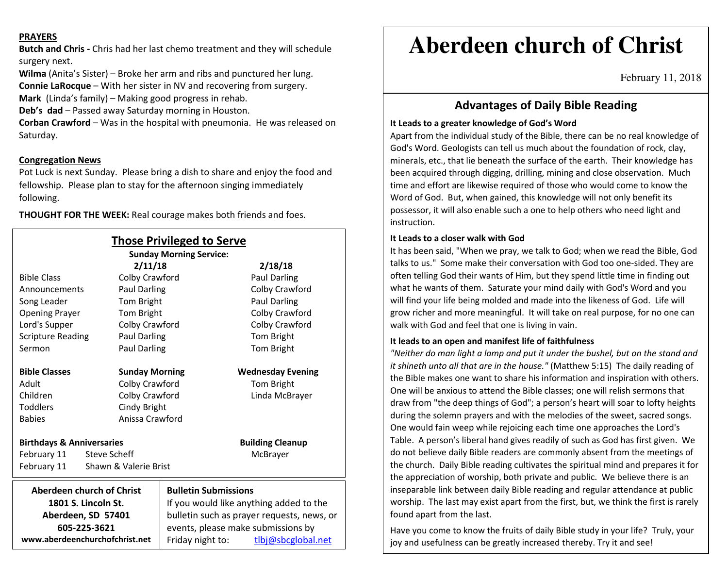#### **PRAYERS**

**Butch and Chris -** Chris had her last chemo treatment and they will schedule surgery next.

**Wilma** (Anita's Sister) – Broke her arm and ribs and punctured her lung.

**Connie LaRocque** – With her sister in NV and recovering from surgery.

**Mark** (Linda's family) – Making good progress in rehab.

**Deb's dad** – Passed away Saturday morning in Houston.

**Corban Crawford** – Was in the hospital with pneumonia. He was released on Saturday.

#### **Congregation News**

 Pot Luck is next Sunday. Please bring a dish to share and enjoy the food and fellowship. Please plan to stay for the afternoon singing immediately following.

**THOUGHT FOR THE WEEK:** Real courage makes both friends and foes.

| <b>Those Privileged to Serve</b>         |                       |                                            |                          |
|------------------------------------------|-----------------------|--------------------------------------------|--------------------------|
| <b>Sunday Morning Service:</b>           |                       |                                            |                          |
|                                          | 2/11/18               |                                            | 2/18/18                  |
| <b>Bible Class</b>                       | Colby Crawford        |                                            | Paul Darling             |
| Announcements                            | Paul Darling          |                                            | Colby Crawford           |
| Tom Bright<br>Song Leader                |                       |                                            | Paul Darling             |
| Tom Bright<br><b>Opening Prayer</b>      |                       |                                            | Colby Crawford           |
| Colby Crawford<br>Lord's Supper          |                       |                                            | Colby Crawford           |
| <b>Scripture Reading</b><br>Paul Darling |                       |                                            | Tom Bright               |
| <b>Paul Darling</b><br>Sermon            |                       |                                            | Tom Bright               |
| <b>Bible Classes</b>                     | <b>Sunday Morning</b> |                                            | <b>Wednesday Evening</b> |
| Adult                                    | Colby Crawford        |                                            | <b>Tom Bright</b>        |
| Children                                 | Colby Crawford        |                                            | Linda McBrayer           |
| <b>Toddlers</b>                          | Cindy Bright          |                                            |                          |
| <b>Babies</b>                            | Anissa Crawford       |                                            |                          |
| <b>Birthdays &amp; Anniversaries</b>     |                       |                                            | <b>Building Cleanup</b>  |
| February 11<br>Steve Scheff              |                       |                                            | McBrayer                 |
| February 11                              | Shawn & Valerie Brist |                                            |                          |
| Aberdeen church of Christ                |                       | <b>Bulletin Submissions</b>                |                          |
| 1801 S. Lincoln St.                      |                       | If you would like anything added to the    |                          |
| Aberdeen, SD 57401                       |                       | bulletin such as prayer requests, news, or |                          |
| 605-225-3621                             |                       | events, please make submissions by         |                          |
| www.aberdeenchurchofchrist.net           |                       | Friday night to:                           | tlbj@sbcglobal.net       |

# **Aberdeen church of Christ**

February 11, 2018

## **Advantages of Daily Bible Reading**

#### **It Leads to a greater knowledge of God's Word**

Apart from the individual study of the Bible, there can be no real knowledge of God's Word. Geologists can tell us much about the foundation of rock, clay, minerals, etc., that lie beneath the surface of the earth. Their knowledge has been acquired through digging, drilling, mining and close observation. Much time and effort are likewise required of those who would come to know the Word of God. But, when gained, this knowledge will not only benefit its possessor, it will also enable such a one to help others who need light and instruction.

#### **It Leads to a closer walk with God**

 It has been said, "When we pray, we talk to God; when we read the Bible, God talks to us." Some make their conversation with God too one-sided. They are often telling God their wants of Him, but they spend little time in finding out what he wants of them. Saturate your mind daily with God's Word and you will find your life being molded and made into the likeness of God. Life will grow richer and more meaningful. It will take on real purpose, for no one can walk with God and feel that one is living in vain.

#### **It leads to an open and manifest life of faithfulness**

 *"Neither do man light a lamp and put it under the bushel, but on the stand and it shineth unto all that are in the house."* (Matthew 5:15) The daily reading of the Bible makes one want to share his information and inspiration with others. One will be anxious to attend the Bible classes; one will relish sermons that draw from "the deep things of God"; a person's heart will soar to lofty heights during the solemn prayers and with the melodies of the sweet, sacred songs. One would fain weep while rejoicing each time one approaches the Lord's Table. A person's liberal hand gives readily of such as God has first given. We do not believe daily Bible readers are commonly absent from the meetings of the church. Daily Bible reading cultivates the spiritual mind and prepares it for the appreciation of worship, both private and public. We believe there is an inseparable link between daily Bible reading and regular attendance at public worship. The last may exist apart from the first, but, we think the first is rarely found apart from the last.

Have you come to know the fruits of daily Bible study in your life? Truly, your joy and usefulness can be greatly increased thereby. Try it and see!